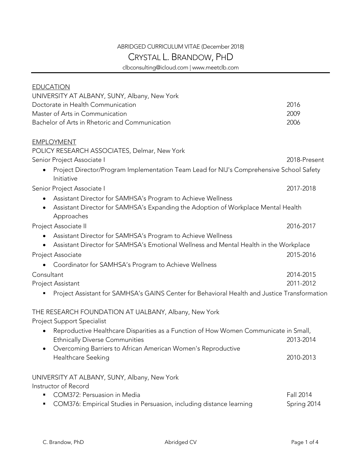## ABRIDGED CURRICULUM VITAE (December 2018)

## CRYSTAL L. BRANDOW, PHD

clbconsulting@icloud.com | www.meetclb.com

| <b>EDUCATION</b>                                                                                             |                  |
|--------------------------------------------------------------------------------------------------------------|------------------|
| UNIVERSITY AT ALBANY, SUNY, Albany, New York<br>Doctorate in Health Communication                            | 2016             |
| Master of Arts in Communication                                                                              | 2009             |
| Bachelor of Arts in Rhetoric and Communication                                                               | 2006             |
|                                                                                                              |                  |
| <b>EMPLOYMENT</b>                                                                                            |                  |
| POLICY RESEARCH ASSOCIATES, Delmar, New York                                                                 |                  |
| Senior Project Associate I                                                                                   | 2018-Present     |
| Project Director/Program Implementation Team Lead for NIJ's Comprehensive School Safety<br>Initiative        |                  |
| Senior Project Associate I                                                                                   | 2017-2018        |
| Assistant Director for SAMHSA's Program to Achieve Wellness<br>٠                                             |                  |
| Assistant Director for SAMHSA's Expanding the Adoption of Workplace Mental Health<br>$\bullet$<br>Approaches |                  |
| Project Associate II                                                                                         | 2016-2017        |
| Assistant Director for SAMHSA's Program to Achieve Wellness<br>$\bullet$                                     |                  |
| Assistant Director for SAMHSA's Emotional Wellness and Mental Health in the Workplace<br>$\bullet$           |                  |
| Project Associate                                                                                            | 2015-2016        |
| Coordinator for SAMHSA's Program to Achieve Wellness                                                         |                  |
| Consultant                                                                                                   | 2014-2015        |
| Project Assistant                                                                                            | 2011-2012        |
| Project Assistant for SAMHSA's GAINS Center for Behavioral Health and Justice Transformation                 |                  |
| THE RESEARCH FOUNDATION AT UALBANY, Albany, New York                                                         |                  |
| <b>Project Support Specialist</b>                                                                            |                  |
| Reproductive Healthcare Disparities as a Function of How Women Communicate in Small,                         |                  |
| <b>Ethnically Diverse Communities</b>                                                                        | 2013-2014        |
| Overcoming Barriers to African American Women's Reproductive                                                 |                  |
| Healthcare Seeking                                                                                           | 2010-2013        |
| UNIVERSITY AT ALBANY, SUNY, Albany, New York                                                                 |                  |
| Instructor of Record                                                                                         |                  |
| COM372: Persuasion in Media<br>٠                                                                             | <b>Fall 2014</b> |
| COM376: Empirical Studies in Persuasion, including distance learning                                         | Spring 2014      |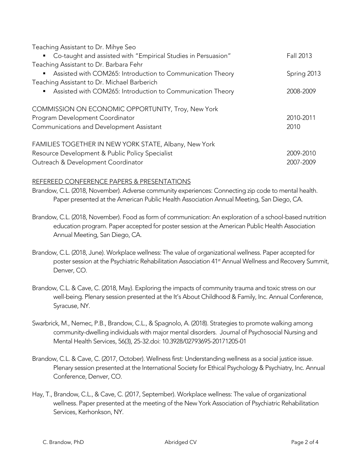| Teaching Assistant to Dr. Mihye Seo |  |  |
|-------------------------------------|--|--|
|                                     |  |  |

| " Co-taught and assisted with "Empirical Studies in Persuasion"              | Fall 2013   |
|------------------------------------------------------------------------------|-------------|
| Teaching Assistant to Dr. Barbara Fehr                                       |             |
| Assisted with COM265: Introduction to Communication Theory<br>$\blacksquare$ | Spring 2013 |
| Teaching Assistant to Dr. Michael Barberich                                  |             |
| Assisted with COM265: Introduction to Communication Theory<br>٠              | 2008-2009   |
| COMMISSION ON ECONOMIC OPPORTUNITY, Troy, New York                           |             |
| Program Development Coordinator                                              | 2010-2011   |
| Communications and Development Assistant                                     | 2010        |
| FAMILIES TOGETHER IN NEW YORK STATE, Albany, New York                        |             |
| Resource Development & Public Policy Specialist                              | 2009-2010   |
| Outreach & Development Coordinator                                           | 2007-2009   |

## REFEREED CONFERENCE PAPERS & PRESENTATIONS

Brandow, C.L. (2018, November). Adverse community experiences: Connecting zip code to mental health. Paper presented at the American Public Health Association Annual Meeting, San Diego, CA.

- Brandow, C.L. (2018, November). Food as form of communication: An exploration of a school-based nutrition education program. Paper accepted for poster session at the American Public Health Association Annual Meeting, San Diego, CA.
- Brandow, C.L. (2018, June). Workplace wellness: The value of organizational wellness. Paper accepted for poster session at the Psychiatric Rehabilitation Association 41<sup>st</sup> Annual Wellness and Recovery Summit, Denver, CO.
- Brandow, C.L. & Cave, C. (2018, May). Exploring the impacts of community trauma and toxic stress on our well-being. Plenary session presented at the It's About Childhood & Family, Inc. Annual Conference, Syracuse, NY.
- Swarbrick, M., Nemec, P.B., Brandow, C.L., & Spagnolo, A. (2018). Strategies to promote walking among community-dwelling individuals with major mental disorders. Journal of Psychosocial Nursing and Mental Health Services, 56(3), 25-32.doi: 10.3928/02793695-20171205-01
- Brandow, C.L. & Cave, C. (2017, October). Wellness first: Understanding wellness as a social justice issue. Plenary session presented at the International Society for Ethical Psychology & Psychiatry, Inc. Annual Conference, Denver, CO.
- Hay, T., Brandow, C.L., & Cave, C. (2017, September). Workplace wellness: The value of organizational wellness. Paper presented at the meeting of the New York Association of Psychiatric Rehabilitation Services, Kerhonkson, NY.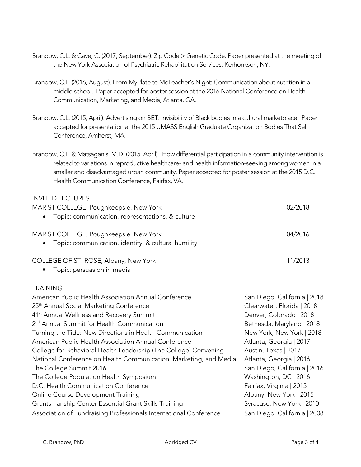- Brandow, C.L. & Cave, C. (2017, September). Zip Code > Genetic Code. Paper presented at the meeting of the New York Association of Psychiatric Rehabilitation Services, Kerhonkson, NY.
- Brandow, C.L. (2016, August). From MyPlate to McTeacher's Night: Communication about nutrition in a middle school. Paper accepted for poster session at the 2016 National Conference on Health Communication, Marketing, and Media, Atlanta, GA.
- Brandow, C.L. (2015, April). Advertising on BET: Invisibility of Black bodies in a cultural marketplace. Paper accepted for presentation at the 2015 UMASS English Graduate Organization Bodies That Sell Conference, Amherst, MA.
- Brandow, C.L. & Matsaganis, M.D. (2015, April). How differential participation in a community intervention is related to variations in reproductive healthcare- and health information-seeking among women in a smaller and disadvantaged urban community. Paper accepted for poster session at the 2015 D.C. Health Communication Conference, Fairfax, VA.

| <b>IIVVITED LECTORES</b>                                          |                              |
|-------------------------------------------------------------------|------------------------------|
| MARIST COLLEGE, Poughkeepsie, New York                            | 02/2018                      |
| Topic: communication, representations, & culture                  |                              |
|                                                                   |                              |
| MARIST COLLEGE, Poughkeepsie, New York                            | 04/2016                      |
| Topic: communication, identity, & cultural humility               |                              |
| COLLEGE OF ST. ROSE, Albany, New York                             | 11/2013                      |
| Topic: persuasion in media                                        |                              |
| <b>TRAINING</b>                                                   |                              |
| American Public Health Association Annual Conference              | San Diego, California   2018 |
| 25 <sup>th</sup> Annual Social Marketing Conference               | Clearwater, Florida   2018   |
| 41 <sup>st</sup> Annual Wellness and Recovery Summit              | Denver, Colorado   2018      |
| 2 <sup>nd</sup> Annual Summit for Health Communication            |                              |
|                                                                   | Bethesda, Maryland   2018    |
| Turning the Tide: New Directions in Health Communication          | New York, New York   2018    |
| American Public Health Association Annual Conference              | Atlanta, Georgia   2017      |
| College for Behavioral Health Leadership (The College) Convening  | Austin, Texas   2017         |
| National Conference on Health Communication, Marketing, and Media | Atlanta, Georgia   2016      |
| The College Summit 2016                                           | San Diego, California   2016 |
| The College Population Health Symposium                           | Washington, DC   2016        |
| D.C. Health Communication Conference                              | Fairfax, Virginia   2015     |
| Online Course Development Training                                | Albany, New York   2015      |
| Grantsmanship Center Essential Grant Skills Training              | Syracuse, New York   2010    |
| Association of Fundraising Professionals International Conference | San Diego, California   2008 |
|                                                                   |                              |

INVITED LECTURES